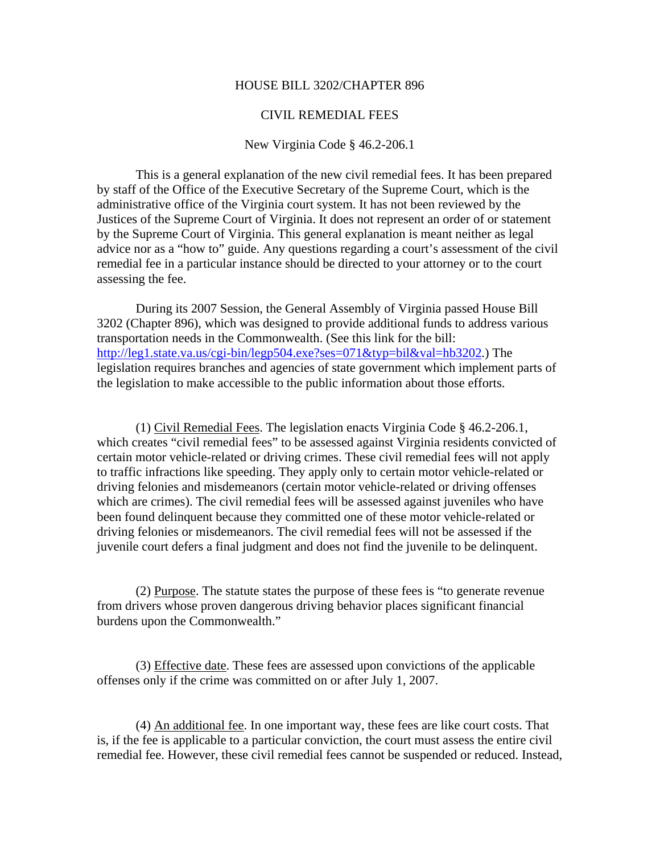#### HOUSE BILL 3202/CHAPTER 896

#### CIVIL REMEDIAL FEES

#### New Virginia Code § 46.2-206.1

This is a general explanation of the new civil remedial fees. It has been prepared by staff of the Office of the Executive Secretary of the Supreme Court, which is the administrative office of the Virginia court system. It has not been reviewed by the Justices of the Supreme Court of Virginia. It does not represent an order of or statement by the Supreme Court of Virginia. This general explanation is meant neither as legal advice nor as a "how to" guide. Any questions regarding a court's assessment of the civil remedial fee in a particular instance should be directed to your attorney or to the court assessing the fee.

 During its 2007 Session, the General Assembly of Virginia passed House Bill 3202 (Chapter 896), which was designed to provide additional funds to address various transportation needs in the Commonwealth. (See this link for the bill: [http://leg1.state.va.us/cgi-bin/legp504.exe?ses=071&typ=bil&val=hb3202.](http://leg1.state.va.us/cgi-bin/legp504.exe?ses=071&typ=bil&val=hb3202)) The legislation requires branches and agencies of state government which implement parts of the legislation to make accessible to the public information about those efforts.

 (1) Civil Remedial Fees. The legislation enacts Virginia Code § 46.2-206.1, which creates "civil remedial fees" to be assessed against Virginia residents convicted of certain motor vehicle-related or driving crimes. These civil remedial fees will not apply to traffic infractions like speeding. They apply only to certain motor vehicle-related or driving felonies and misdemeanors (certain motor vehicle-related or driving offenses which are crimes). The civil remedial fees will be assessed against juveniles who have been found delinquent because they committed one of these motor vehicle-related or driving felonies or misdemeanors. The civil remedial fees will not be assessed if the juvenile court defers a final judgment and does not find the juvenile to be delinquent.

 (2) Purpose. The statute states the purpose of these fees is "to generate revenue from drivers whose proven dangerous driving behavior places significant financial burdens upon the Commonwealth."

 (3) Effective date. These fees are assessed upon convictions of the applicable offenses only if the crime was committed on or after July 1, 2007.

(4) An additional fee. In one important way, these fees are like court costs. That is, if the fee is applicable to a particular conviction, the court must assess the entire civil remedial fee. However, these civil remedial fees cannot be suspended or reduced. Instead,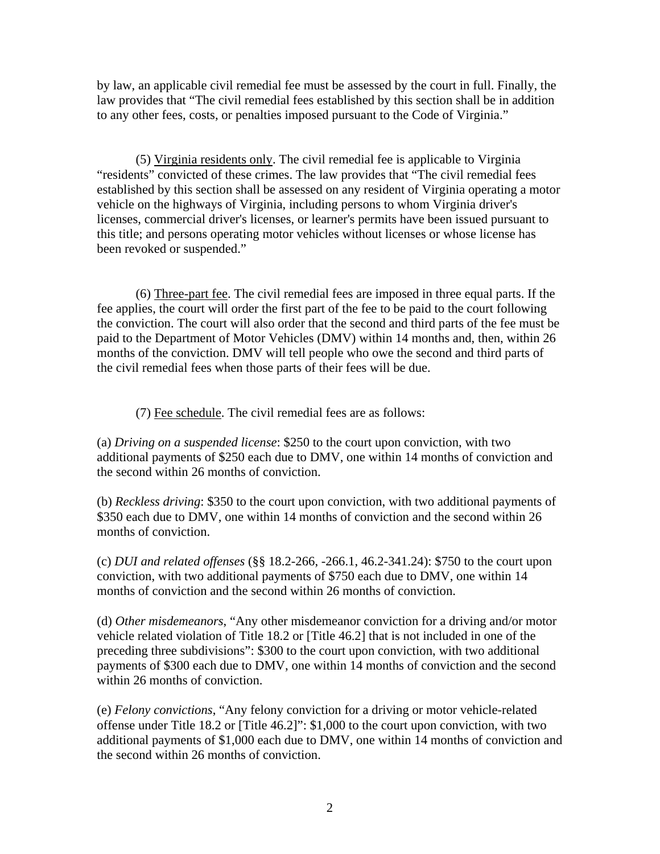by law, an applicable civil remedial fee must be assessed by the court in full. Finally, the law provides that "The civil remedial fees established by this section shall be in addition to any other fees, costs, or penalties imposed pursuant to the Code of Virginia."

(5) Virginia residents only. The civil remedial fee is applicable to Virginia "residents" convicted of these crimes. The law provides that "The civil remedial fees established by this section shall be assessed on any resident of Virginia operating a motor vehicle on the highways of Virginia, including persons to whom Virginia driver's licenses, commercial driver's licenses, or learner's permits have been issued pursuant to this title; and persons operating motor vehicles without licenses or whose license has been revoked or suspended."

 (6) Three-part fee. The civil remedial fees are imposed in three equal parts. If the fee applies, the court will order the first part of the fee to be paid to the court following the conviction. The court will also order that the second and third parts of the fee must be paid to the Department of Motor Vehicles (DMV) within 14 months and, then, within 26 months of the conviction. DMV will tell people who owe the second and third parts of the civil remedial fees when those parts of their fees will be due.

(7) Fee schedule. The civil remedial fees are as follows:

(a) *Driving on a suspended license*: \$250 to the court upon conviction, with two additional payments of \$250 each due to DMV, one within 14 months of conviction and the second within 26 months of conviction.

(b) *Reckless driving*: \$350 to the court upon conviction, with two additional payments of \$350 each due to DMV, one within 14 months of conviction and the second within 26 months of conviction.

(c) *DUI and related offenses* (§§ 18.2-266, -266.1, 46.2-341.24): \$750 to the court upon conviction, with two additional payments of \$750 each due to DMV, one within 14 months of conviction and the second within 26 months of conviction.

(d) *Other misdemeanors*, "Any other misdemeanor conviction for a driving and/or motor vehicle related violation of Title 18.2 or [Title 46.2] that is not included in one of the preceding three subdivisions": \$300 to the court upon conviction, with two additional payments of \$300 each due to DMV, one within 14 months of conviction and the second within 26 months of conviction.

(e) *Felony convictions*, "Any felony conviction for a driving or motor vehicle-related offense under Title 18.2 or [Title 46.2]": \$1,000 to the court upon conviction, with two additional payments of \$1,000 each due to DMV, one within 14 months of conviction and the second within 26 months of conviction.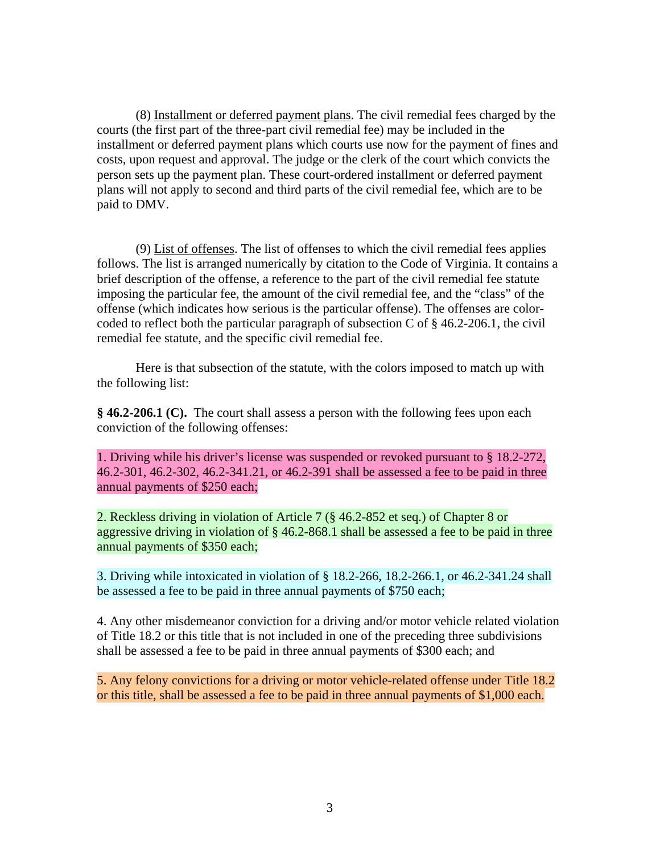(8) Installment or deferred payment plans. The civil remedial fees charged by the courts (the first part of the three-part civil remedial fee) may be included in the installment or deferred payment plans which courts use now for the payment of fines and costs, upon request and approval. The judge or the clerk of the court which convicts the person sets up the payment plan. These court-ordered installment or deferred payment plans will not apply to second and third parts of the civil remedial fee, which are to be paid to DMV.

(9) List of offenses. The list of offenses to which the civil remedial fees applies follows. The list is arranged numerically by citation to the Code of Virginia. It contains a brief description of the offense, a reference to the part of the civil remedial fee statute imposing the particular fee, the amount of the civil remedial fee, and the "class" of the offense (which indicates how serious is the particular offense). The offenses are colorcoded to reflect both the particular paragraph of subsection C of  $\S$  46.2-206.1, the civil remedial fee statute, and the specific civil remedial fee.

Here is that subsection of the statute, with the colors imposed to match up with the following list:

**§ 46.2-206.1 (C).** The court shall assess a person with the following fees upon each conviction of the following offenses:

1. Driving while his driver's license was suspended or revoked pursuant to § 18.2-272, 46.2-301, 46.2-302, 46.2-341.21, or 46.2-391 shall be assessed a fee to be paid in three annual payments of \$250 each;

2. Reckless driving in violation of Article 7 (§ 46.2-852 et seq.) of Chapter 8 or aggressive driving in violation of § 46.2-868.1 shall be assessed a fee to be paid in three annual payments of \$350 each;

3. Driving while intoxicated in violation of § 18.2-266, 18.2-266.1, or 46.2-341.24 shall be assessed a fee to be paid in three annual payments of \$750 each;

4. Any other misdemeanor conviction for a driving and/or motor vehicle related violation of Title 18.2 or this title that is not included in one of the preceding three subdivisions shall be assessed a fee to be paid in three annual payments of \$300 each; and

5. Any felony convictions for a driving or motor vehicle-related offense under Title 18.2 or this title, shall be assessed a fee to be paid in three annual payments of \$1,000 each.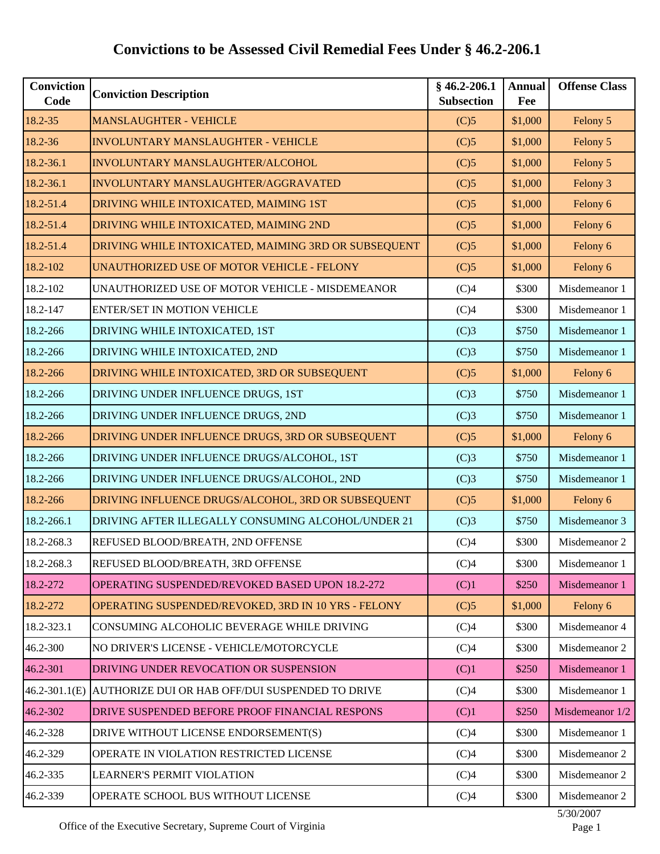| <b>Conviction</b><br>Code | <b>Conviction Description</b>                        | $§$ 46.2-206.1<br><b>Subsection</b> | <b>Annual</b><br>Fee | <b>Offense Class</b> |
|---------------------------|------------------------------------------------------|-------------------------------------|----------------------|----------------------|
| 18.2-35                   | <b>MANSLAUGHTER - VEHICLE</b>                        | (C)5                                | \$1,000              | Felony 5             |
| 18.2-36                   | <b>INVOLUNTARY MANSLAUGHTER - VEHICLE</b>            | (C)5                                | \$1,000              | Felony 5             |
| 18.2-36.1                 | INVOLUNTARY MANSLAUGHTER/ALCOHOL                     | (C)5                                | \$1,000              | Felony 5             |
| 18.2-36.1                 | INVOLUNTARY MANSLAUGHTER/AGGRAVATED                  | (C)5                                | \$1,000              | Felony 3             |
| 18.2-51.4                 | DRIVING WHILE INTOXICATED, MAIMING 1ST               | (C)5                                | \$1,000              | Felony 6             |
| 18.2-51.4                 | DRIVING WHILE INTOXICATED, MAIMING 2ND               | (C)5                                | \$1,000              | Felony 6             |
| 18.2-51.4                 | DRIVING WHILE INTOXICATED, MAIMING 3RD OR SUBSEQUENT | (C)5                                | \$1,000              | Felony 6             |
| 18.2-102                  | UNAUTHORIZED USE OF MOTOR VEHICLE - FELONY           | (C)5                                | \$1,000              | Felony 6             |
| 18.2-102                  | UNAUTHORIZED USE OF MOTOR VEHICLE - MISDEMEANOR      | (C)4                                | \$300                | Misdemeanor 1        |
| 18.2-147                  | <b>ENTER/SET IN MOTION VEHICLE</b>                   | (C)4                                | \$300                | Misdemeanor 1        |
| 18.2-266                  | DRIVING WHILE INTOXICATED, 1ST                       | (C)3                                | \$750                | Misdemeanor 1        |
| 18.2-266                  | DRIVING WHILE INTOXICATED, 2ND                       | (C)3                                | \$750                | Misdemeanor 1        |
| 18.2-266                  | DRIVING WHILE INTOXICATED, 3RD OR SUBSEQUENT         | (C)5                                | \$1,000              | Felony 6             |
| 18.2-266                  | DRIVING UNDER INFLUENCE DRUGS, 1ST                   | (C)3                                | \$750                | Misdemeanor 1        |
| 18.2-266                  | DRIVING UNDER INFLUENCE DRUGS, 2ND                   | (C)3                                | \$750                | Misdemeanor 1        |
| 18.2-266                  | DRIVING UNDER INFLUENCE DRUGS, 3RD OR SUBSEQUENT     | (C)5                                | \$1,000              | Felony 6             |
| 18.2-266                  | DRIVING UNDER INFLUENCE DRUGS/ALCOHOL, 1ST           | (C)3                                | \$750                | Misdemeanor 1        |
| 18.2-266                  | DRIVING UNDER INFLUENCE DRUGS/ALCOHOL, 2ND           | (C)3                                | \$750                | Misdemeanor 1        |
| 18.2-266                  | DRIVING INFLUENCE DRUGS/ALCOHOL, 3RD OR SUBSEQUENT   | (C)5                                | \$1,000              | Felony 6             |
| 18.2-266.1                | DRIVING AFTER ILLEGALLY CONSUMING ALCOHOL/UNDER 21   | (C)3                                | \$750                | Misdemeanor 3        |
| 18.2-268.3                | REFUSED BLOOD/BREATH, 2ND OFFENSE                    | (C)4                                | \$300                | Misdemeanor 2        |
| 18.2-268.3                | REFUSED BLOOD/BREATH, 3RD OFFENSE                    | (C)4                                | \$300                | Misdemeanor 1        |
| 18.2-272                  | OPERATING SUSPENDED/REVOKED BASED UPON 18.2-272      | (C)1                                | \$250                | Misdemeanor 1        |
| 18.2-272                  | OPERATING SUSPENDED/REVOKED, 3RD IN 10 YRS - FELONY  | (C)5                                | \$1,000              | Felony 6             |
| 18.2-323.1                | CONSUMING ALCOHOLIC BEVERAGE WHILE DRIVING           | (C)4                                | \$300                | Misdemeanor 4        |
| 46.2-300                  | NO DRIVER'S LICENSE - VEHICLE/MOTORCYCLE             | (C)4                                | \$300                | Misdemeanor 2        |
| 46.2-301                  | DRIVING UNDER REVOCATION OR SUSPENSION               | (C)1                                | \$250                | Misdemeanor 1        |
| $46.2 - 301.1(E)$         | AUTHORIZE DUI OR HAB OFF/DUI SUSPENDED TO DRIVE      | (C)4                                | \$300                | Misdemeanor 1        |
| 46.2-302                  | DRIVE SUSPENDED BEFORE PROOF FINANCIAL RESPONS       | (C)1                                | \$250                | Misdemeanor 1/2      |
| 46.2-328                  | DRIVE WITHOUT LICENSE ENDORSEMENT(S)                 | (C)4                                | \$300                | Misdemeanor 1        |
| 46.2-329                  | OPERATE IN VIOLATION RESTRICTED LICENSE              | (C)4                                | \$300                | Misdemeanor 2        |
| 46.2-335                  | <b>LEARNER'S PERMIT VIOLATION</b>                    | (C)4                                | \$300                | Misdemeanor 2        |
| 46.2-339                  | OPERATE SCHOOL BUS WITHOUT LICENSE                   | (C)4                                | \$300                | Misdemeanor 2        |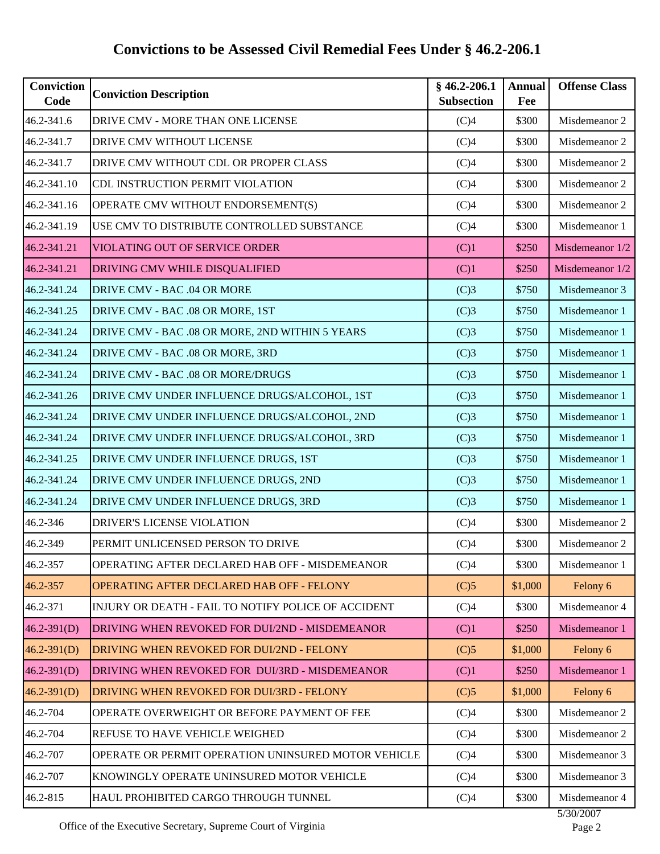| 46.2-341.6<br>46.2-341.7<br>46.2-341.7<br>46.2-341.10<br>46.2-341.16<br>46.2-341.19<br>46.2-341.21<br>46.2-341.21 | DRIVE CMV - MORE THAN ONE LICENSE<br>DRIVE CMV WITHOUT LICENSE<br>DRIVE CMV WITHOUT CDL OR PROPER CLASS<br>CDL INSTRUCTION PERMIT VIOLATION<br>OPERATE CMV WITHOUT ENDORSEMENT(S)<br>USE CMV TO DISTRIBUTE CONTROLLED SUBSTANCE<br>VIOLATING OUT OF SERVICE ORDER<br>DRIVING CMV WHILE DISQUALIFIED | (C)4<br>(C)4<br>(C)4<br>(C)4<br>(C)4<br>(C)4<br>(C)1 | \$300<br>\$300<br>\$300<br>\$300<br>\$300<br>\$300<br>\$250 | Misdemeanor 2<br>Misdemeanor 2<br>Misdemeanor 2<br>Misdemeanor 2<br>Misdemeanor 2<br>Misdemeanor 1 |
|-------------------------------------------------------------------------------------------------------------------|-----------------------------------------------------------------------------------------------------------------------------------------------------------------------------------------------------------------------------------------------------------------------------------------------------|------------------------------------------------------|-------------------------------------------------------------|----------------------------------------------------------------------------------------------------|
|                                                                                                                   |                                                                                                                                                                                                                                                                                                     |                                                      |                                                             |                                                                                                    |
|                                                                                                                   |                                                                                                                                                                                                                                                                                                     |                                                      |                                                             |                                                                                                    |
|                                                                                                                   |                                                                                                                                                                                                                                                                                                     |                                                      |                                                             |                                                                                                    |
|                                                                                                                   |                                                                                                                                                                                                                                                                                                     |                                                      |                                                             |                                                                                                    |
|                                                                                                                   |                                                                                                                                                                                                                                                                                                     |                                                      |                                                             |                                                                                                    |
|                                                                                                                   |                                                                                                                                                                                                                                                                                                     |                                                      |                                                             |                                                                                                    |
|                                                                                                                   |                                                                                                                                                                                                                                                                                                     |                                                      |                                                             | Misdemeanor 1/2                                                                                    |
|                                                                                                                   |                                                                                                                                                                                                                                                                                                     | (C)1                                                 | \$250                                                       | Misdemeanor 1/2                                                                                    |
| 46.2-341.24                                                                                                       | DRIVE CMV - BAC .04 OR MORE                                                                                                                                                                                                                                                                         | (C)3                                                 | \$750                                                       | Misdemeanor 3                                                                                      |
| 46.2-341.25                                                                                                       | DRIVE CMV - BAC .08 OR MORE, 1ST                                                                                                                                                                                                                                                                    | (C)3                                                 | \$750                                                       | Misdemeanor 1                                                                                      |
| 46.2-341.24                                                                                                       | DRIVE CMV - BAC .08 OR MORE, 2ND WITHIN 5 YEARS                                                                                                                                                                                                                                                     | (C)3                                                 | \$750                                                       | Misdemeanor 1                                                                                      |
| 46.2-341.24                                                                                                       | DRIVE CMV - BAC .08 OR MORE, 3RD                                                                                                                                                                                                                                                                    | (C)3                                                 | \$750                                                       | Misdemeanor 1                                                                                      |
| 46.2-341.24                                                                                                       | DRIVE CMV - BAC .08 OR MORE/DRUGS                                                                                                                                                                                                                                                                   | (C)3                                                 | \$750                                                       | Misdemeanor 1                                                                                      |
| 46.2-341.26                                                                                                       | DRIVE CMV UNDER INFLUENCE DRUGS/ALCOHOL, 1ST                                                                                                                                                                                                                                                        | (C)3                                                 | \$750                                                       | Misdemeanor 1                                                                                      |
| 46.2-341.24                                                                                                       | DRIVE CMV UNDER INFLUENCE DRUGS/ALCOHOL, 2ND                                                                                                                                                                                                                                                        | (C)3                                                 | \$750                                                       | Misdemeanor 1                                                                                      |
| 46.2-341.24                                                                                                       | DRIVE CMV UNDER INFLUENCE DRUGS/ALCOHOL, 3RD                                                                                                                                                                                                                                                        | (C)3                                                 | \$750                                                       | Misdemeanor 1                                                                                      |
| 46.2-341.25                                                                                                       | DRIVE CMV UNDER INFLUENCE DRUGS, 1ST                                                                                                                                                                                                                                                                | (C)3                                                 | \$750                                                       | Misdemeanor 1                                                                                      |
| 46.2-341.24                                                                                                       | DRIVE CMV UNDER INFLUENCE DRUGS, 2ND                                                                                                                                                                                                                                                                | (C)3                                                 | \$750                                                       | Misdemeanor 1                                                                                      |
| 46.2-341.24                                                                                                       | DRIVE CMV UNDER INFLUENCE DRUGS, 3RD                                                                                                                                                                                                                                                                | (C)3                                                 | \$750                                                       | Misdemeanor 1                                                                                      |
| 46.2-346                                                                                                          | DRIVER'S LICENSE VIOLATION                                                                                                                                                                                                                                                                          | (C)4                                                 | \$300                                                       | Misdemeanor 2                                                                                      |
| 46.2-349                                                                                                          | PERMIT UNLICENSED PERSON TO DRIVE                                                                                                                                                                                                                                                                   | (C)4                                                 | \$300                                                       | Misdemeanor 2                                                                                      |
| 46.2-357                                                                                                          | OPERATING AFTER DECLARED HAB OFF - MISDEMEANOR                                                                                                                                                                                                                                                      | (C)4                                                 | \$300                                                       | Misdemeanor 1                                                                                      |
| 46.2-357                                                                                                          | OPERATING AFTER DECLARED HAB OFF - FELONY                                                                                                                                                                                                                                                           | (C)5                                                 | \$1,000                                                     | Felony 6                                                                                           |
| 46.2-371                                                                                                          | INJURY OR DEATH - FAIL TO NOTIFY POLICE OF ACCIDENT                                                                                                                                                                                                                                                 | (C)4                                                 | \$300                                                       | Misdemeanor 4                                                                                      |
| $46.2 - 391(D)$                                                                                                   | DRIVING WHEN REVOKED FOR DUI/2ND - MISDEMEANOR                                                                                                                                                                                                                                                      | (C)1                                                 | \$250                                                       | Misdemeanor 1                                                                                      |
| $46.2 - 391(D)$                                                                                                   | DRIVING WHEN REVOKED FOR DUI/2ND - FELONY                                                                                                                                                                                                                                                           | (C)5                                                 | \$1,000                                                     | Felony 6                                                                                           |
| $46.2 - 391(D)$                                                                                                   | DRIVING WHEN REVOKED FOR DUI/3RD - MISDEMEANOR                                                                                                                                                                                                                                                      | (C)1                                                 | \$250                                                       | Misdemeanor 1                                                                                      |
| $46.2 - 391(D)$                                                                                                   | <b>DRIVING WHEN REVOKED FOR DUI/3RD - FELONY</b>                                                                                                                                                                                                                                                    | (C)5                                                 | \$1,000                                                     | Felony 6                                                                                           |
| 46.2-704                                                                                                          | OPERATE OVERWEIGHT OR BEFORE PAYMENT OF FEE                                                                                                                                                                                                                                                         | (C)4                                                 | \$300                                                       | Misdemeanor 2                                                                                      |
| 46.2-704                                                                                                          | <b>REFUSE TO HAVE VEHICLE WEIGHED</b>                                                                                                                                                                                                                                                               | (C)4                                                 | \$300                                                       | Misdemeanor 2                                                                                      |
| 46.2-707                                                                                                          | OPERATE OR PERMIT OPERATION UNINSURED MOTOR VEHICLE                                                                                                                                                                                                                                                 | (C)4                                                 | \$300                                                       | Misdemeanor 3                                                                                      |
| 46.2-707                                                                                                          | KNOWINGLY OPERATE UNINSURED MOTOR VEHICLE                                                                                                                                                                                                                                                           | (C)4                                                 | \$300                                                       | Misdemeanor 3                                                                                      |
| 46.2-815                                                                                                          | HAUL PROHIBITED CARGO THROUGH TUNNEL                                                                                                                                                                                                                                                                | (C)4                                                 | \$300                                                       | Misdemeanor 4                                                                                      |

Office of the Executive Secretary, Supreme Court of Virginia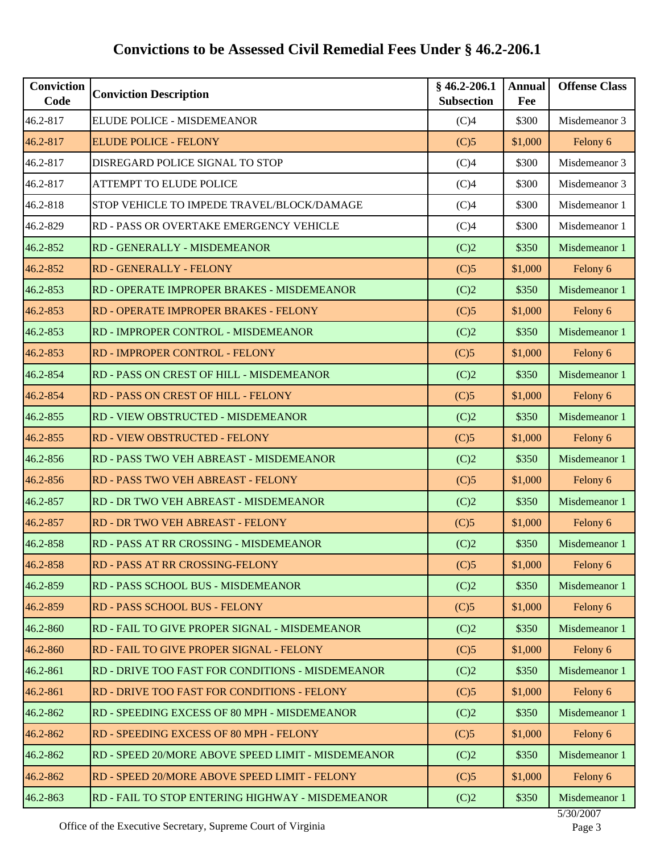| <b>Conviction</b><br>Code | <b>Conviction Description</b>                      | $§$ 46.2-206.1<br><b>Subsection</b> | <b>Annual</b><br>Fee | <b>Offense Class</b> |
|---------------------------|----------------------------------------------------|-------------------------------------|----------------------|----------------------|
| 46.2-817                  | ELUDE POLICE - MISDEMEANOR                         | (C)4                                | \$300                | Misdemeanor 3        |
| 46.2-817                  | <b>ELUDE POLICE - FELONY</b>                       | (C)5                                | \$1,000              | Felony 6             |
| 46.2-817                  | DISREGARD POLICE SIGNAL TO STOP                    | (C)4                                | \$300                | Misdemeanor 3        |
| 46.2-817                  | <b>ATTEMPT TO ELUDE POLICE</b>                     | (C)4                                | \$300                | Misdemeanor 3        |
| 46.2-818                  | STOP VEHICLE TO IMPEDE TRAVEL/BLOCK/DAMAGE         | (C)4                                | \$300                | Misdemeanor 1        |
| 46.2-829                  | RD - PASS OR OVERTAKE EMERGENCY VEHICLE            | (C)4                                | \$300                | Misdemeanor 1        |
| 46.2-852                  | RD - GENERALLY - MISDEMEANOR                       | (C)2                                | \$350                | Misdemeanor 1        |
| 46.2-852                  | RD - GENERALLY - FELONY                            | (C)5                                | \$1,000              | Felony 6             |
| 46.2-853                  | RD - OPERATE IMPROPER BRAKES - MISDEMEANOR         | (C)2                                | \$350                | Misdemeanor 1        |
| 46.2-853                  | RD - OPERATE IMPROPER BRAKES - FELONY              | (C)5                                | \$1,000              | Felony 6             |
| 46.2-853                  | RD - IMPROPER CONTROL - MISDEMEANOR                | (C)2                                | \$350                | Misdemeanor 1        |
| 46.2-853                  | RD - IMPROPER CONTROL - FELONY                     | (C)5                                | \$1,000              | Felony 6             |
| 46.2-854                  | RD - PASS ON CREST OF HILL - MISDEMEANOR           | (C)2                                | \$350                | Misdemeanor 1        |
| 46.2-854                  | RD - PASS ON CREST OF HILL - FELONY                | (C)5                                | \$1,000              | Felony 6             |
| 46.2-855                  | RD - VIEW OBSTRUCTED - MISDEMEANOR                 | (C)2                                | \$350                | Misdemeanor 1        |
| 46.2-855                  | RD - VIEW OBSTRUCTED - FELONY                      | (C)5                                | \$1,000              | Felony 6             |
| 46.2-856                  | RD - PASS TWO VEH ABREAST - MISDEMEANOR            | (C)2                                | \$350                | Misdemeanor 1        |
| 46.2-856                  | RD - PASS TWO VEH ABREAST - FELONY                 | (C)5                                | \$1,000              | Felony 6             |
| 46.2-857                  | RD - DR TWO VEH ABREAST - MISDEMEANOR              | (C)2                                | \$350                | Misdemeanor 1        |
| 46.2-857                  | RD - DR TWO VEH ABREAST - FELONY                   | (C)5                                | \$1,000              | Felony 6             |
| 46.2-858                  | RD - PASS AT RR CROSSING - MISDEMEANOR             | (C)2                                | \$350                | Misdemeanor 1        |
| 46.2-858                  | RD - PASS AT RR CROSSING-FELONY                    | (C)5                                | \$1,000              | Felony 6             |
| 46.2-859                  | RD - PASS SCHOOL BUS - MISDEMEANOR                 | (C)2                                | \$350                | Misdemeanor 1        |
| 46.2-859                  | RD - PASS SCHOOL BUS - FELONY                      | (C)5                                | \$1,000              | Felony 6             |
| 46.2-860                  | RD - FAIL TO GIVE PROPER SIGNAL - MISDEMEANOR      | (C)2                                | \$350                | Misdemeanor 1        |
| 46.2-860                  | RD - FAIL TO GIVE PROPER SIGNAL - FELONY           | (C)5                                | \$1,000              | Felony 6             |
| 46.2-861                  | RD - DRIVE TOO FAST FOR CONDITIONS - MISDEMEANOR   | (C)2                                | \$350                | Misdemeanor 1        |
| 46.2-861                  | RD - DRIVE TOO FAST FOR CONDITIONS - FELONY        | (C)5                                | \$1,000              | Felony 6             |
| 46.2-862                  | RD - SPEEDING EXCESS OF 80 MPH - MISDEMEANOR       | (C)2                                | \$350                | Misdemeanor 1        |
| 46.2-862                  | RD - SPEEDING EXCESS OF 80 MPH - FELONY            | (C)5                                | \$1,000              | Felony 6             |
| 46.2-862                  | RD - SPEED 20/MORE ABOVE SPEED LIMIT - MISDEMEANOR | (C)2                                | \$350                | Misdemeanor 1        |
| 46.2-862                  | RD - SPEED 20/MORE ABOVE SPEED LIMIT - FELONY      | (C)5                                | \$1,000              | Felony 6             |
| 46.2-863                  | RD - FAIL TO STOP ENTERING HIGHWAY - MISDEMEANOR   | (C)2                                | \$350                | Misdemeanor 1        |

Office of the Executive Secretary, Supreme Court of Virginia